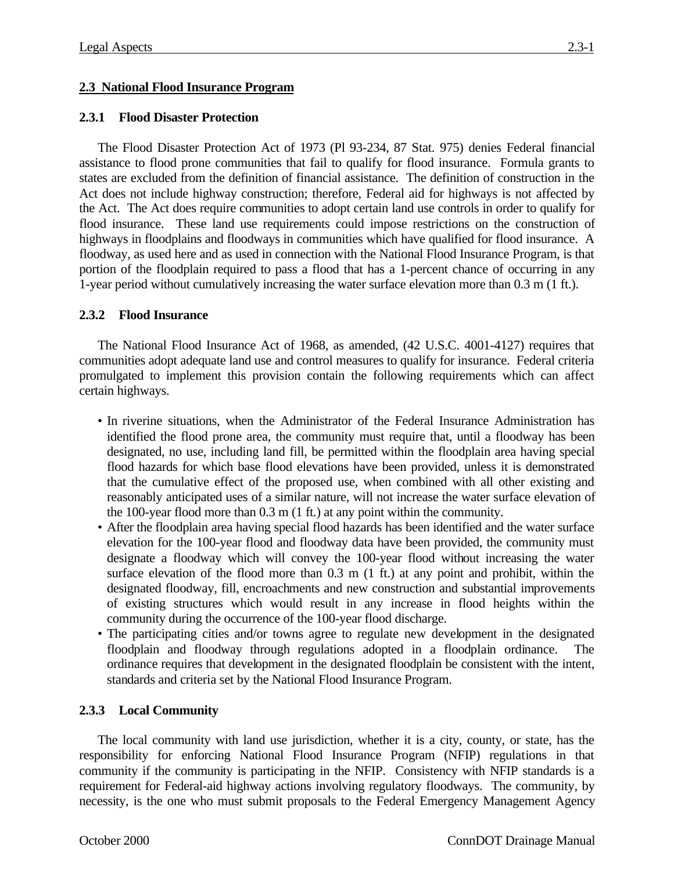# **2.3 National Flood Insurance Program**

## **2.3.1 Flood Disaster Protection**

The Flood Disaster Protection Act of 1973 (Pl 93-234, 87 Stat. 975) denies Federal financial assistance to flood prone communities that fail to qualify for flood insurance. Formula grants to states are excluded from the definition of financial assistance. The definition of construction in the Act does not include highway construction; therefore, Federal aid for highways is not affected by the Act. The Act does require communities to adopt certain land use controls in order to qualify for flood insurance. These land use requirements could impose restrictions on the construction of highways in floodplains and floodways in communities which have qualified for flood insurance. A floodway, as used here and as used in connection with the National Flood Insurance Program, is that portion of the floodplain required to pass a flood that has a 1-percent chance of occurring in any 1-year period without cumulatively increasing the water surface elevation more than 0.3 m (1 ft.).

# **2.3.2 Flood Insurance**

The National Flood Insurance Act of 1968, as amended, (42 U.S.C. 4001-4127) requires that communities adopt adequate land use and control measures to qualify for insurance. Federal criteria promulgated to implement this provision contain the following requirements which can affect certain highways.

- In riverine situations, when the Administrator of the Federal Insurance Administration has identified the flood prone area, the community must require that, until a floodway has been designated, no use, including land fill, be permitted within the floodplain area having special flood hazards for which base flood elevations have been provided, unless it is demonstrated that the cumulative effect of the proposed use, when combined with all other existing and reasonably anticipated uses of a similar nature, will not increase the water surface elevation of the 100-year flood more than 0.3 m (1 ft.) at any point within the community.
- After the floodplain area having special flood hazards has been identified and the water surface elevation for the 100-year flood and floodway data have been provided, the community must designate a floodway which will convey the 100-year flood without increasing the water surface elevation of the flood more than 0.3 m (1 ft.) at any point and prohibit, within the designated floodway, fill, encroachments and new construction and substantial improvements of existing structures which would result in any increase in flood heights within the community during the occurrence of the 100-year flood discharge.
- The participating cities and/or towns agree to regulate new development in the designated floodplain and floodway through regulations adopted in a floodplain ordinance. The ordinance requires that development in the designated floodplain be consistent with the intent, standards and criteria set by the National Flood Insurance Program.

### **2.3.3 Local Community**

The local community with land use jurisdiction, whether it is a city, county, or state, has the responsibility for enforcing National Flood Insurance Program (NFIP) regulations in that community if the community is participating in the NFIP. Consistency with NFIP standards is a requirement for Federal-aid highway actions involving regulatory floodways. The community, by necessity, is the one who must submit proposals to the Federal Emergency Management Agency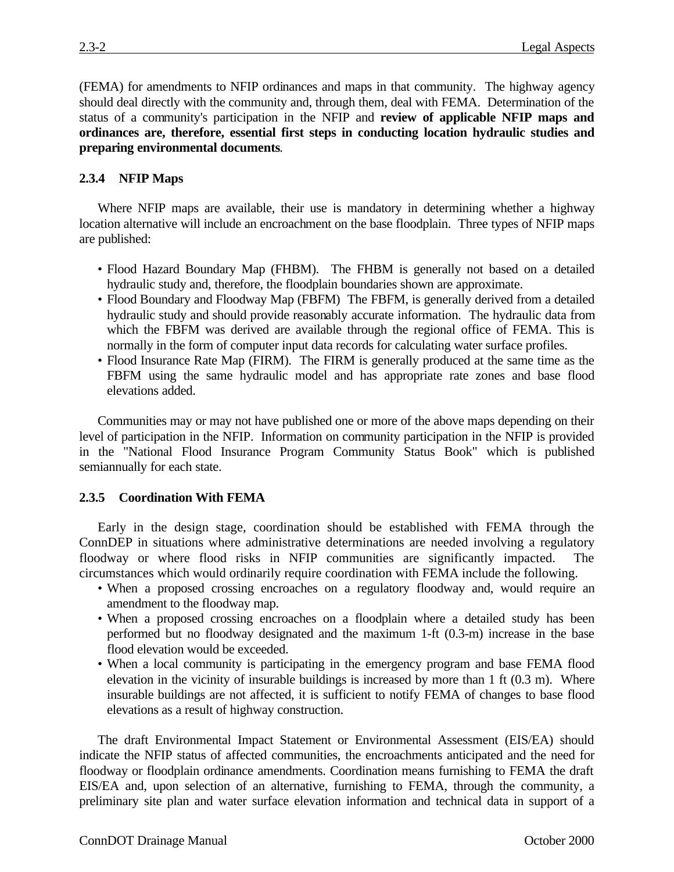(FEMA) for amendments to NFIP ordinances and maps in that community. The highway agency should deal directly with the community and, through them, deal with FEMA. Determination of the status of a community's participation in the NFIP and **review of applicable NFIP maps and ordinances are, therefore, essential first steps in conducting location hydraulic studies and preparing environmental documents**.

## **2.3.4 NFIP Maps**

Where NFIP maps are available, their use is mandatory in determining whether a highway location alternative will include an encroachment on the base floodplain. Three types of NFIP maps are published:

- Flood Hazard Boundary Map (FHBM). The FHBM is generally not based on a detailed hydraulic study and, therefore, the floodplain boundaries shown are approximate.
- Flood Boundary and Floodway Map (FBFM) The FBFM, is generally derived from a detailed hydraulic study and should provide reasonably accurate information. The hydraulic data from which the FBFM was derived are available through the regional office of FEMA. This is normally in the form of computer input data records for calculating water surface profiles.
- Flood Insurance Rate Map (FIRM). The FIRM is generally produced at the same time as the FBFM using the same hydraulic model and has appropriate rate zones and base flood elevations added.

Communities may or may not have published one or more of the above maps depending on their level of participation in the NFIP. Information on community participation in the NFIP is provided in the "National Flood Insurance Program Community Status Book" which is published semiannually for each state.

### **2.3.5 Coordination With FEMA**

Early in the design stage, coordination should be established with FEMA through the ConnDEP in situations where administrative determinations are needed involving a regulatory floodway or where flood risks in NFIP communities are significantly impacted. The circumstances which would ordinarily require coordination with FEMA include the following.

- When a proposed crossing encroaches on a regulatory floodway and, would require an amendment to the floodway map.
- When a proposed crossing encroaches on a floodplain where a detailed study has been performed but no floodway designated and the maximum 1-ft (0.3-m) increase in the base flood elevation would be exceeded.
- When a local community is participating in the emergency program and base FEMA flood elevation in the vicinity of insurable buildings is increased by more than 1 ft (0.3 m). Where insurable buildings are not affected, it is sufficient to notify FEMA of changes to base flood elevations as a result of highway construction.

The draft Environmental Impact Statement or Environmental Assessment (EIS/EA) should indicate the NFIP status of affected communities, the encroachments anticipated and the need for floodway or floodplain ordinance amendments. Coordination means furnishing to FEMA the draft EIS/EA and, upon selection of an alternative, furnishing to FEMA, through the community, a preliminary site plan and water surface elevation information and technical data in support of a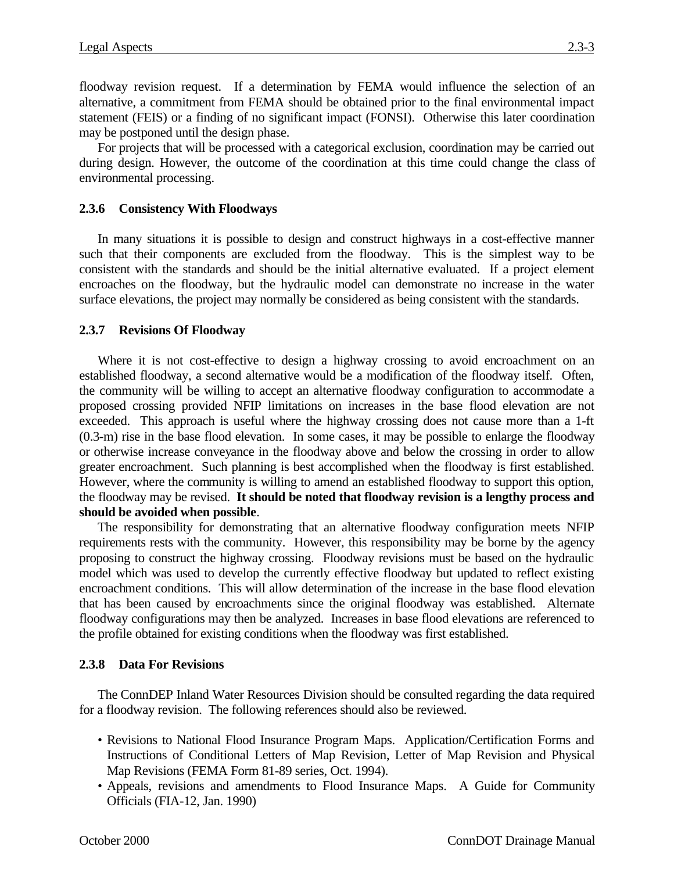floodway revision request. If a determination by FEMA would influence the selection of an alternative, a commitment from FEMA should be obtained prior to the final environmental impact statement (FEIS) or a finding of no significant impact (FONSI). Otherwise this later coordination may be postponed until the design phase.

For projects that will be processed with a categorical exclusion, coordination may be carried out during design. However, the outcome of the coordination at this time could change the class of environmental processing.

# **2.3.6 Consistency With Floodways**

In many situations it is possible to design and construct highways in a cost-effective manner such that their components are excluded from the floodway. This is the simplest way to be consistent with the standards and should be the initial alternative evaluated. If a project element encroaches on the floodway, but the hydraulic model can demonstrate no increase in the water surface elevations, the project may normally be considered as being consistent with the standards.

# **2.3.7 Revisions Of Floodway**

Where it is not cost-effective to design a highway crossing to avoid encroachment on an established floodway, a second alternative would be a modification of the floodway itself. Often, the community will be willing to accept an alternative floodway configuration to accommodate a proposed crossing provided NFIP limitations on increases in the base flood elevation are not exceeded. This approach is useful where the highway crossing does not cause more than a 1-ft (0.3-m) rise in the base flood elevation. In some cases, it may be possible to enlarge the floodway or otherwise increase conveyance in the floodway above and below the crossing in order to allow greater encroachment. Such planning is best accomplished when the floodway is first established. However, where the community is willing to amend an established floodway to support this option, the floodway may be revised. **It should be noted that floodway revision is a lengthy process and should be avoided when possible**.

The responsibility for demonstrating that an alternative floodway configuration meets NFIP requirements rests with the community. However, this responsibility may be borne by the agency proposing to construct the highway crossing. Floodway revisions must be based on the hydraulic model which was used to develop the currently effective floodway but updated to reflect existing encroachment conditions. This will allow determination of the increase in the base flood elevation that has been caused by encroachments since the original floodway was established. Alternate floodway configurations may then be analyzed. Increases in base flood elevations are referenced to the profile obtained for existing conditions when the floodway was first established.

### **2.3.8 Data For Revisions**

The ConnDEP Inland Water Resources Division should be consulted regarding the data required for a floodway revision. The following references should also be reviewed.

- Revisions to National Flood Insurance Program Maps. Application/Certification Forms and Instructions of Conditional Letters of Map Revision, Letter of Map Revision and Physical Map Revisions (FEMA Form 81-89 series, Oct. 1994).
- Appeals, revisions and amendments to Flood Insurance Maps. A Guide for Community Officials (FIA-12, Jan. 1990)